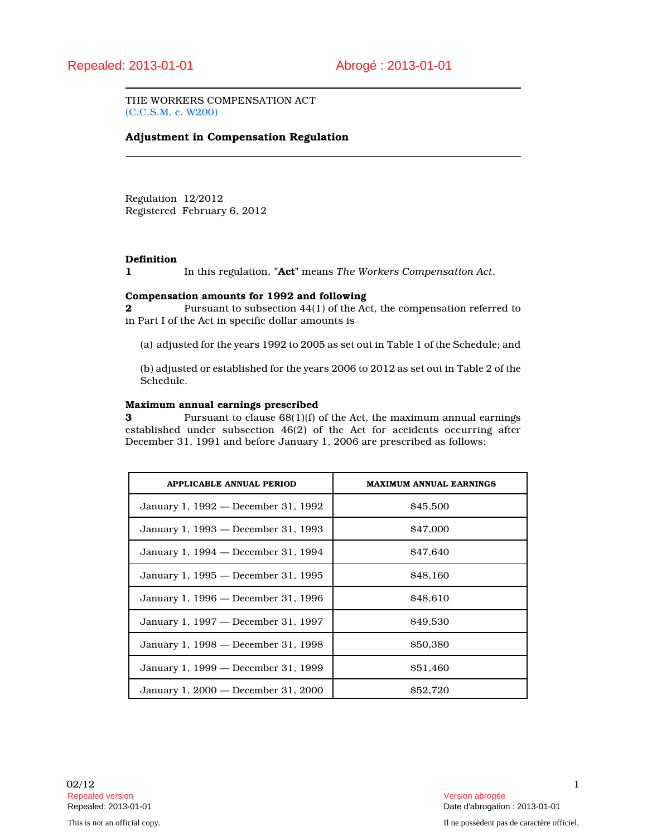THE WORKERS COMPENSATION ACT (C.C.S.M. c. W200)

## **Adjustment in Compensation Regulation**

Regulation 12/2012 Registered February 6, 2012

#### **Definition**

**1** In this regulation, **"Act"** means *The Workers Compensation Act*.

### **Compensation amounts for 1992 and following**

**2** Pursuant to subsection 44(1) of the Act, the compensation referred to in Part I of the Act in specific dollar amounts is

(a) adjusted for the years 1992 to 2005 as set out in Table 1 of the Schedule; and

(b) adjusted or established for the years 2006 to 2012 as set out in Table 2 of the Schedule.

#### **Maximum annual earnings prescribed**

**3** Pursuant to clause 68(1)(f) of the Act, the maximum annual earnings established under subsection 46(2) of the Act for accidents occurring after December 31, 1991 and before January 1, 2006 are prescribed as follows:

| APPLICABLE ANNUAL PERIOD            | <b>MAXIMUM ANNUAL EARNINGS</b> |
|-------------------------------------|--------------------------------|
| January 1, 1992 — December 31, 1992 | \$45,500                       |
| January 1, 1993 — December 31, 1993 | \$47,000                       |
| January 1, 1994 — December 31, 1994 | \$47,640                       |
| January 1, 1995 — December 31, 1995 | <b>S<sub>48</sub></b> .160     |
| January 1, 1996 — December 31, 1996 | \$48.610                       |
| January 1, 1997 — December 31, 1997 | \$49,530                       |
| January 1, 1998 — December 31, 1998 | \$50,380                       |
| January 1, 1999 — December 31, 1999 | \$51.460                       |
| January 1, 2000 — December 31, 2000 | <b>S52.720</b>                 |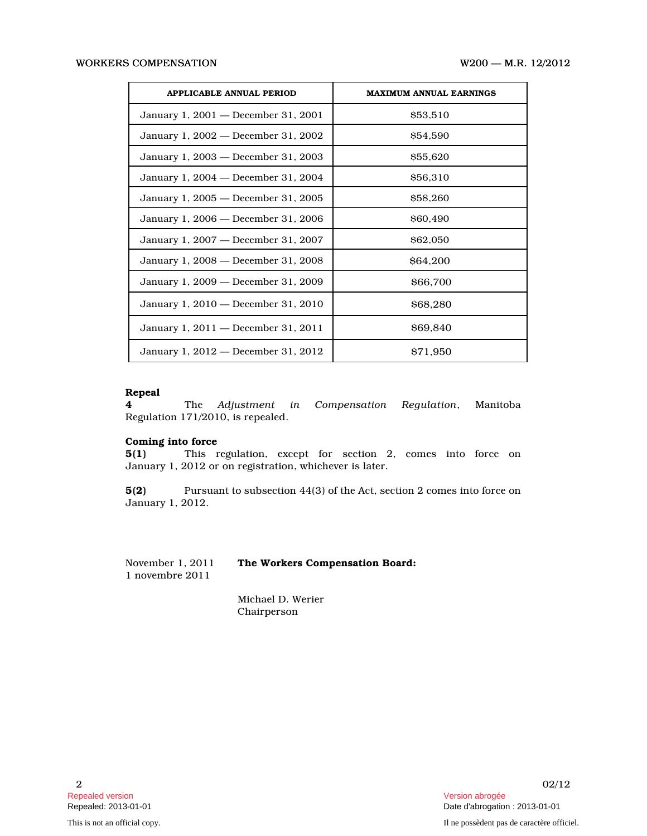| <b>APPLICABLE ANNUAL PERIOD</b>     | <b>MAXIMUM ANNUAL EARNINGS</b> |
|-------------------------------------|--------------------------------|
| January 1, 2001 — December 31, 2001 | \$53,510                       |
| January 1, 2002 — December 31, 2002 | \$54,590                       |
| January 1, 2003 — December 31, 2003 | \$55,620                       |
| January 1, 2004 — December 31, 2004 | \$56,310                       |
| January 1, 2005 — December 31, 2005 | \$58,260                       |
| January 1, 2006 — December 31, 2006 | \$60,490                       |
| January 1, 2007 — December 31, 2007 | \$62,050                       |
| January 1, 2008 — December 31, 2008 | <b>S64.200</b>                 |
| January 1, 2009 — December 31, 2009 | \$66,700                       |
| January 1, 2010 — December 31, 2010 | \$68,280                       |
| January 1, 2011 — December 31, 2011 | <b>\$69,840</b>                |
| January 1, 2012 — December 31, 2012 | S <sub>7</sub> 1.950           |

# **Repeal**

**4** The *Adjustment in Compensation Regulation*, Manitoba Regulation 171/2010, is repealed.

### **Coming into force**

**5(1)** This regulation, except for section 2, comes into force on January 1, 2012 or on registration, whichever is later.

**5(2)** Pursuant to subsection 44(3) of the Act, section 2 comes into force on January 1, 2012.

November 1, 2011 **The Workers Compensation Board:** 1 novembre 2011

Michael D. Werier Chairperson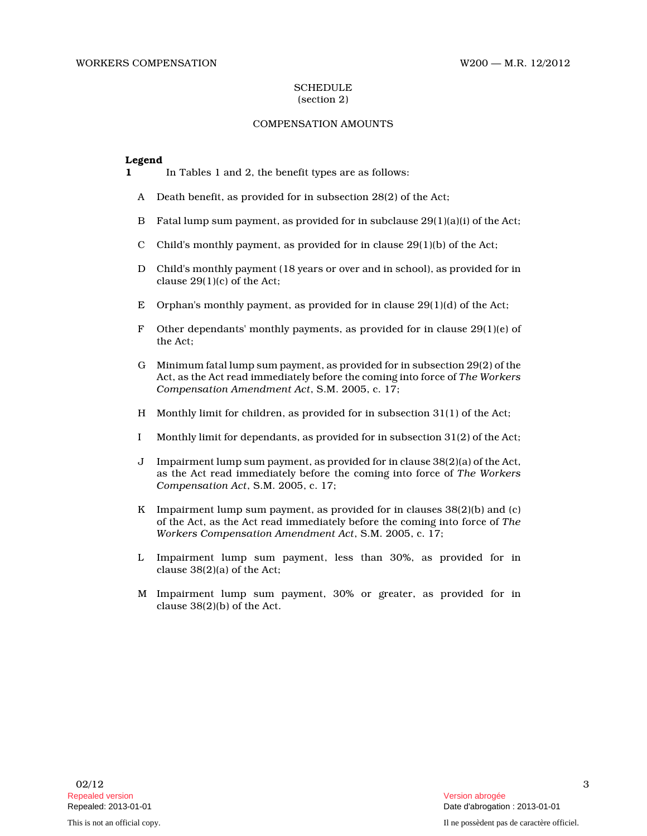### **SCHEDULE** (section 2)

### COMPENSATION AMOUNTS

### **Legend**

- **1** In Tables 1 and 2, the benefit types are as follows:
	- A Death benefit, as provided for in subsection 28(2) of the Act;
	- B Fatal lump sum payment, as provided for in subclause 29(1)(a)(i) of the Act;
	- C Child's monthly payment, as provided for in clause  $29(1)(b)$  of the Act;
	- D Child's monthly payment (18 years or over and in school), as provided for in clause 29(1)(c) of the Act;
	- E Orphan's monthly payment, as provided for in clause 29(1)(d) of the Act;
	- F Other dependants' monthly payments, as provided for in clause  $29(1)(e)$  of the Act;
	- G Minimum fatal lump sum payment, as provided for in subsection 29(2) of the Act, as the Act read immediately before the coming into force of *The Workers Compensation Amendment Act*, S.M. 2005, c. 17;
	- H Monthly limit for children, as provided for in subsection 31(1) of the Act;
	- I Monthly limit for dependants, as provided for in subsection 31(2) of the Act;
	- J Impairment lump sum payment, as provided for in clause 38(2)(a) of the Act, as the Act read immediately before the coming into force of *The Workers Compensation Act*, S.M. 2005, c. 17;
	- K Impairment lump sum payment, as provided for in clauses 38(2)(b) and (c) of the Act, as the Act read immediately before the coming into force of *The Workers Compensation Amendment Act*, S.M. 2005, c. 17;
	- L Impairment lump sum payment, less than 30%, as provided for in clause 38(2)(a) of the Act;
	- M Impairment lump sum payment, 30% or greater, as provided for in clause 38(2)(b) of the Act.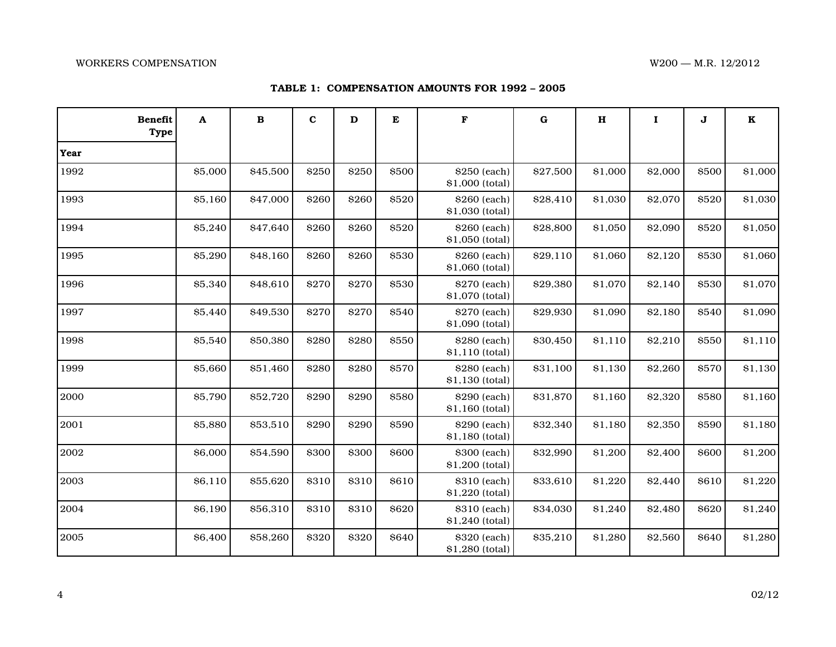### WORKERS COMPENSATION W200 — M.R. 12/2012

| <b>Benefit</b><br><b>Type</b> | A       | $\bf{B}$ | $\mathbf{C}$ | D     | E     | F                               | $\bf G$  | $\mathbf H$ | $\mathbf I$ | J            | $\mathbf K$ |
|-------------------------------|---------|----------|--------------|-------|-------|---------------------------------|----------|-------------|-------------|--------------|-------------|
| Year                          |         |          |              |       |       |                                 |          |             |             |              |             |
| 1992                          | \$5,000 | \$45,500 | \$250        | \$250 | \$500 | \$250 (each)<br>\$1,000 (total) | \$27,500 | \$1,000     | \$2,000     | \$500        | \$1,000     |
| 1993                          | \$5,160 | \$47,000 | \$260        | \$260 | \$520 | \$260 (each)<br>\$1,030 (total) | \$28,410 | \$1,030     | \$2,070     | \$520        | \$1,030     |
| 1994                          | \$5,240 | \$47,640 | \$260        | \$260 | \$520 | \$260 (each)<br>\$1,050 (total) | \$28,800 | \$1,050     | \$2,090     | \$520        | \$1,050     |
| 1995                          | \$5,290 | \$48,160 | \$260        | \$260 | \$530 | \$260 (each)<br>\$1,060 (total) | \$29,110 | \$1,060     | \$2,120     | \$530        | \$1,060     |
| 1996                          | \$5,340 | \$48,610 | \$270        | \$270 | \$530 | \$270 (each)<br>\$1,070 (total) | \$29,380 | \$1,070     | \$2,140     | \$530        | \$1,070     |
| 1997                          | \$5,440 | \$49,530 | \$270        | \$270 | \$540 | \$270 (each)<br>\$1,090 (total) | \$29,930 | \$1,090     | \$2,180     | \$540        | \$1,090     |
| 1998                          | \$5,540 | \$50,380 | \$280        | \$280 | \$550 | \$280 (each)<br>\$1,110 (total) | \$30,450 | \$1,110     | \$2,210     | \$550        | \$1,110     |
| 1999                          | \$5,660 | \$51,460 | \$280        | \$280 | \$570 | \$280 (each)<br>\$1,130 (total) | \$31,100 | \$1,130     | \$2,260     | \$570        | \$1,130     |
| 2000                          | \$5,790 | \$52,720 | \$290        | \$290 | \$580 | \$290 (each)<br>\$1,160 (total) | \$31,870 | \$1,160     | \$2,320     | \$580        | \$1,160     |
| 2001                          | \$5,880 | \$53,510 | \$290        | \$290 | \$590 | \$290 (each)<br>\$1,180 (total) | \$32,340 | \$1,180     | \$2,350     | \$590        | \$1,180     |
| 2002                          | \$6,000 | \$54,590 | \$300        | \$300 | \$600 | \$300 (each)<br>\$1,200 (total) | \$32,990 | \$1,200     | \$2,400     | \$600        | \$1,200     |
| 2003                          | \$6,110 | \$55,620 | \$310        | \$310 | \$610 | \$310 (each)<br>\$1,220 (total) | \$33,610 | \$1,220     | \$2,440     | <b>\$610</b> | \$1,220     |
| 2004                          | \$6,190 | \$56,310 | \$310        | \$310 | \$620 | \$310 (each)<br>\$1,240 (total) | \$34,030 | \$1,240     | \$2,480     | \$620        | \$1,240     |
| 2005                          | \$6,400 | \$58,260 | \$320        | \$320 | \$640 | \$320 (each)<br>\$1,280 (total) | \$35,210 | \$1,280     | \$2,560     | \$640        | \$1,280     |